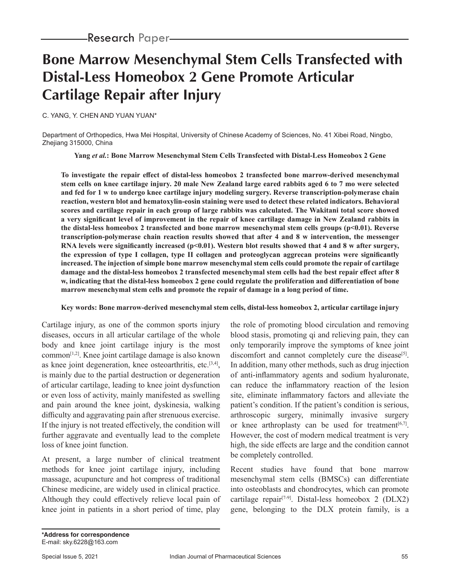# **Bone Marrow Mesenchymal Stem Cells Transfected with Distal-Less Homeobox 2 Gene Promote Articular Cartilage Repair after Injury**

C. YANG, Y. CHEN AND YUAN YUAN\*

Department of Orthopedics, Hwa Mei Hospital, University of Chinese Academy of Sciences, No. 41 Xibei Road, Ningbo, Zhejiang 315000, China

**Yang** *et al.***: Bone Marrow Mesenchymal Stem Cells Transfected with Distal-Less Homeobox 2 Gene**

**To investigate the repair effect of distal-less homeobox 2 transfected bone marrow-derived mesenchymal stem cells on knee cartilage injury. 20 male New Zealand large eared rabbits aged 6 to 7 mo were selected and fed for 1 w to undergo knee cartilage injury modeling surgery. Reverse transcription-polymerase chain reaction, western blot and hematoxylin-eosin staining were used to detect these related indicators. Behavioral scores and cartilage repair in each group of large rabbits was calculated. The Wakitani total score showed a very significant level of improvement in the repair of knee cartilage damage in New Zealand rabbits in the distal-less homeobox 2 transfected and bone marrow mesenchymal stem cells groups (p<0.01). Reverse transcription-polymerase chain reaction results showed that after 4 and 8 w intervention, the messenger**  RNA levels were significantly increased (p<0.01). Western blot results showed that 4 and 8 w after surgery, **the expression of type I collagen, type II collagen and proteoglycan aggrecan proteins were significantly increased. The injection of simple bone marrow mesenchymal stem cells could promote the repair of cartilage damage and the distal-less homeobox 2 transfected mesenchymal stem cells had the best repair effect after 8 w, indicating that the distal-less homeobox 2 gene could regulate the proliferation and differentiation of bone marrow mesenchymal stem cells and promote the repair of damage in a long period of time.**

### **Key words: Bone marrow-derived mesenchymal stem cells, distal-less homeobox 2, articular cartilage injury**

Cartilage injury, as one of the common sports injury diseases, occurs in all articular cartilage of the whole body and knee joint cartilage injury is the most  $common^{[1,2]}$ . Knee joint cartilage damage is also known as knee joint degeneration, knee osteoarthritis, etc. $[3,4]$ , is mainly due to the partial destruction or degeneration of articular cartilage, leading to knee joint dysfunction or even loss of activity, mainly manifested as swelling and pain around the knee joint, dyskinesia, walking difficulty and aggravating pain after strenuous exercise. If the injury is not treated effectively, the condition will further aggravate and eventually lead to the complete loss of knee joint function.

At present, a large number of clinical treatment methods for knee joint cartilage injury, including massage, acupuncture and hot compress of traditional Chinese medicine, are widely used in clinical practice. Although they could effectively relieve local pain of knee joint in patients in a short period of time, play the role of promoting blood circulation and removing blood stasis, promoting qi and relieving pain, they can only temporarily improve the symptoms of knee joint discomfort and cannot completely cure the disease<sup>[5]</sup>. In addition, many other methods, such as drug injection of anti-inflammatory agents and sodium hyaluronate, can reduce the inflammatory reaction of the lesion site, eliminate inflammatory factors and alleviate the patient's condition. If the patient's condition is serious, arthroscopic surgery, minimally invasive surgery or knee arthroplasty can be used for treatment<sup>[6,7]</sup>. However, the cost of modern medical treatment is very high, the side effects are large and the condition cannot be completely controlled.

Recent studies have found that bone marrow mesenchymal stem cells (BMSCs) can differentiate into osteoblasts and chondrocytes, which can promote cartilage repair<sup>[7-9]</sup>. Distal-less homeobox 2 (DLX2) gene, belonging to the DLX protein family, is a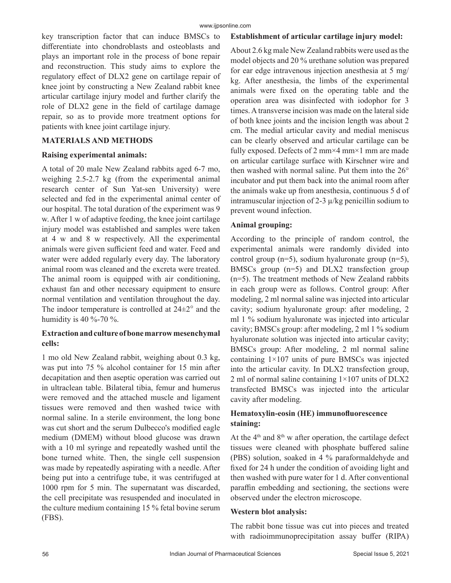key transcription factor that can induce BMSCs to differentiate into chondroblasts and osteoblasts and plays an important role in the process of bone repair and reconstruction. This study aims to explore the regulatory effect of DLX2 gene on cartilage repair of knee joint by constructing a New Zealand rabbit knee articular cartilage injury model and further clarify the role of DLX2 gene in the field of cartilage damage repair, so as to provide more treatment options for patients with knee joint cartilage injury.

# **MATERIALS AND METHODS**

### **Raising experimental animals:**

A total of 20 male New Zealand rabbits aged 6-7 mo, weighing 2.5-2.7 kg (from the experimental animal research center of Sun Yat-sen University) were selected and fed in the experimental animal center of our hospital. The total duration of the experiment was 9 w. After 1 w of adaptive feeding, the knee joint cartilage injury model was established and samples were taken at 4 w and 8 w respectively. All the experimental animals were given sufficient feed and water. Feed and water were added regularly every day. The laboratory animal room was cleaned and the excreta were treated. The animal room is equipped with air conditioning, exhaust fan and other necessary equipment to ensure normal ventilation and ventilation throughout the day. The indoor temperature is controlled at  $24\pm2^{\circ}$  and the humidity is 40 %-70 %.

# **Extraction and culture of bone marrow mesenchymal cells:**

1 mo old New Zealand rabbit, weighing about 0.3 kg, was put into 75 % alcohol container for 15 min after decapitation and then aseptic operation was carried out in ultraclean table. Bilateral tibia, femur and humerus were removed and the attached muscle and ligament tissues were removed and then washed twice with normal saline. In a sterile environment, the long bone was cut short and the serum Dulbecco's modified eagle medium (DMEM) without blood glucose was drawn with a 10 ml syringe and repeatedly washed until the bone turned white. Then, the single cell suspension was made by repeatedly aspirating with a needle. After being put into a centrifuge tube, it was centrifuged at 1000 rpm for 5 min. The supernatant was discarded, the cell precipitate was resuspended and inoculated in the culture medium containing 15 % fetal bovine serum (FBS).

# **Establishment of articular cartilage injury model:**

About 2.6 kg male New Zealand rabbits were used as the model objects and 20 % urethane solution was prepared for ear edge intravenous injection anesthesia at 5 mg/ kg. After anesthesia, the limbs of the experimental animals were fixed on the operating table and the operation area was disinfected with iodophor for 3 times. A transverse incision was made on the lateral side of both knee joints and the incision length was about 2 cm. The medial articular cavity and medial meniscus can be clearly observed and articular cartilage can be fully exposed. Defects of 2 mm $\times$ 4 mm $\times$ 1 mm are made on articular cartilage surface with Kirschner wire and then washed with normal saline. Put them into the 26° incubator and put them back into the animal room after the animals wake up from anesthesia, continuous 5 d of intramuscular injection of 2-3 µ/kg penicillin sodium to prevent wound infection.

# **Animal grouping:**

According to the principle of random control, the experimental animals were randomly divided into control group ( $n=5$ ), sodium hyaluronate group ( $n=5$ ), BMSCs group (n=5) and DLX2 transfection group (n=5). The treatment methods of New Zealand rabbits in each group were as follows. Control group: After modeling, 2 ml normal saline was injected into articular cavity; sodium hyaluronate group: after modeling, 2 ml 1 % sodium hyaluronate was injected into articular cavity; BMSCs group: after modeling, 2 ml 1 % sodium hyaluronate solution was injected into articular cavity; BMSCs group: After modeling, 2 ml normal saline containing 1×107 units of pure BMSCs was injected into the articular cavity. In DLX2 transfection group, 2 ml of normal saline containing  $1\times107$  units of DLX2 transfected BMSCs was injected into the articular cavity after modeling.

# **Hematoxylin-eosin (HE) immunofluorescence staining:**

At the  $4<sup>th</sup>$  and  $8<sup>th</sup>$  w after operation, the cartilage defect tissues were cleaned with phosphate buffered saline (PBS) solution, soaked in 4 % paraformaldehyde and fixed for 24 h under the condition of avoiding light and then washed with pure water for 1 d. After conventional paraffin embedding and sectioning, the sections were observed under the electron microscope.

# **Western blot analysis:**

The rabbit bone tissue was cut into pieces and treated with radioimmunoprecipitation assay buffer (RIPA)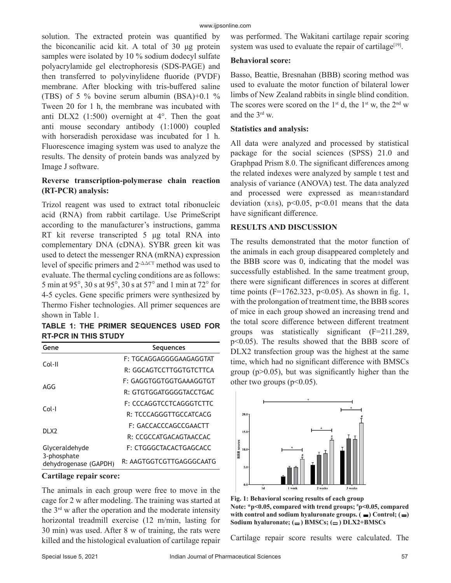solution. The extracted protein was quantified by the biconcanilic acid kit. A total of 30 μg protein samples were isolated by 10 % sodium dodecyl sulfate polyacrylamide gel electrophoresis (SDS-PAGE) and then transferred to polyvinylidene fluoride (PVDF) membrane. After blocking with tris-buffered saline (TBS) of 5 % bovine serum albumin (BSA)+0.1 % Tween 20 for 1 h, the membrane was incubated with anti DLX2 (1:500) overnight at 4°. Then the goat anti mouse secondary antibody (1:1000) coupled with horseradish peroxidase was incubated for 1 h. Fluorescence imaging system was used to analyze the results. The density of protein bands was analyzed by Image J software.

# **Reverse transcription-polymerase chain reaction (RT-PCR) analysis:**

Trizol reagent was used to extract total ribonucleic acid (RNA) from rabbit cartilage. Use PrimeScript according to the manufacturer's instructions, gamma RT kit reverse transcripted 5 μg total RNA into complementary DNA (cDNA). SYBR green kit was used to detect the messenger RNA (mRNA) expression level of specific primers and  $2$ - $\triangle \triangle C$ T method was used to evaluate. The thermal cycling conditions are as follows: 5 min at 95 $^{\circ}$ , 30 s at 95 $^{\circ}$ , 30 s at 57 $^{\circ}$  and 1 min at 72 $^{\circ}$  for 4-5 cycles. Gene specific primers were synthesized by Thermo Fisher technologies. All primer sequences are shown in Table 1.

**TABLE 1: THE PRIMER SEQUENCES USED FOR RT-PCR IN THIS STUDY**

| Gene                                                   | <b>Sequences</b>         |
|--------------------------------------------------------|--------------------------|
| Col-II                                                 | F: TGCAGGAGGGGAAGAGGTAT  |
|                                                        | R: GGCAGTCCTTGGTGTCTTCA  |
| AGG                                                    | F: GAGGTGGTGGTGAAAGGTGT  |
|                                                        | R: GTGTGGATGGGGTACCTGAC  |
| Col-I                                                  | F: CCCAGGTCCTCAGGGTCTTC  |
|                                                        | R: TCCCAGGGTTGCCATCACG   |
| DI X2                                                  | F: GACCACCCAGCCGAACTT    |
|                                                        | R: CCGCCATGACAGTAACCAC   |
| Glyceraldehyde<br>3-phosphate<br>dehydrogenase (GAPDH) | F: CTGGGCTACACTGAGCACC   |
|                                                        | R: AAGTGGTCGTTGAGGGCAATG |

#### **Cartilage repair score:**

The animals in each group were free to move in the cage for 2 w after modeling. The training was started at the  $3<sup>rd</sup>$  w after the operation and the moderate intensity horizontal treadmill exercise (12 m/min, lasting for 30 min) was used. After 8 w of training, the rats were killed and the histological evaluation of cartilage repair was performed. The Wakitani cartilage repair scoring system was used to evaluate the repair of cartilage<sup>[19]</sup>.

#### **Behavioral score:**

Basso, Beattie, Bresnahan (BBB) scoring method was used to evaluate the motor function of bilateral lower limbs of New Zealand rabbits in single blind condition. The scores were scored on the 1<sup>st</sup> d, the 1<sup>st</sup> w, the 2<sup>nd</sup> w and the 3rd w.

#### **Statistics and analysis:**

All data were analyzed and processed by statistical package for the social sciences (SPSS) 21.0 and Graphpad Prism 8.0. The significant differences among the related indexes were analyzed by sample t test and analysis of variance (ANOVA) test. The data analyzed and processed were expressed as mean±standard deviation ( $x\pm s$ ),  $p<0.05$ ,  $p<0.01$  means that the data have significant difference.

#### **RESULTS AND DISCUSSION**

The results demonstrated that the motor function of the animals in each group disappeared completely and the BBB score was 0, indicating that the model was successfully established. In the same treatment group, there were significant differences in scores at different time points (F=1762.323, p<0.05). As shown in fig. 1, with the prolongation of treatment time, the BBB scores of mice in each group showed an increasing trend and the total score difference between different treatment groups was statistically significant (F=211.289, p<0.05). The results showed that the BBB score of DLX2 transfection group was the highest at the same time, which had no significant difference with BMSCs group ( $p$  $>$ 0.05), but was significantly higher than the other two groups  $(p<0.05)$ .





Cartilage repair score results were calculated. The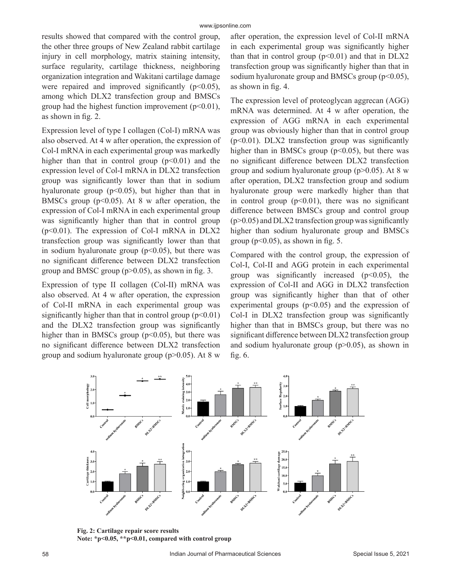results showed that compared with the control group, the other three groups of New Zealand rabbit cartilage injury in cell morphology, matrix staining intensity, surface regularity, cartilage thickness, neighboring organization integration and Wakitani cartilage damage were repaired and improved significantly  $(p<0.05)$ , among which DLX2 transfection group and BMSCs group had the highest function improvement  $(p<0.01)$ , as shown in fig. 2.

Expression level of type I collagen (Col-I) mRNA was also observed. At 4 w after operation, the expression of Col-I mRNA in each experimental group was markedly higher than that in control group  $(p<0.01)$  and the expression level of Col-I mRNA in DLX2 transfection group was significantly lower than that in sodium hyaluronate group ( $p<0.05$ ), but higher than that in BMSCs group ( $p<0.05$ ). At 8 w after operation, the expression of Col-I mRNA in each experimental group was significantly higher than that in control group  $(p<0.01)$ . The expression of Col-I mRNA in DLX2 transfection group was significantly lower than that in sodium hyaluronate group  $(p<0.05)$ , but there was no significant difference between DLX2 transfection group and BMSC group  $(p>0.05)$ , as shown in fig. 3.

Expression of type II collagen (Col-II) mRNA was also observed. At 4 w after operation, the expression of Col-II mRNA in each experimental group was significantly higher than that in control group  $(p<0.01)$ and the DLX2 transfection group was significantly higher than in BMSCs group  $(p<0.05)$ , but there was no significant difference between DLX2 transfection group and sodium hyaluronate group ( $p$  $>$ 0.05). At 8 w after operation, the expression level of Col-II mRNA in each experimental group was significantly higher than that in control group  $(p<0.01)$  and that in DLX2 transfection group was significantly higher than that in sodium hyaluronate group and BMSCs group  $(p<0.05)$ , as shown in fig. 4.

The expression level of proteoglycan aggrecan (AGG) mRNA was determined. At 4 w after operation, the expression of AGG mRNA in each experimental group was obviously higher than that in control group  $(p<0.01)$ . DLX2 transfection group was significantly higher than in BMSCs group  $(p<0.05)$ , but there was no significant difference between DLX2 transfection group and sodium hyaluronate group ( $p > 0.05$ ). At 8 w after operation, DLX2 transfection group and sodium hyaluronate group were markedly higher than that in control group  $(p<0.01)$ , there was no significant difference between BMSCs group and control group  $(p>0.05)$  and DLX2 transfection group was significantly higher than sodium hyaluronate group and BMSCs group ( $p<0.05$ ), as shown in fig. 5.

Compared with the control group, the expression of Col-I, Col-II and AGG protein in each experimental group was significantly increased  $(p<0.05)$ , the expression of Col-II and AGG in DLX2 transfection group was significantly higher than that of other experimental groups  $(p<0.05)$  and the expression of Col-I in DLX2 transfection group was significantly higher than that in BMSCs group, but there was no significant difference between DLX2 transfection group and sodium hyaluronate group  $(p>0.05)$ , as shown in fig. 6.



**Fig. 2: Cartilage repair score results Note: \*p<0.05, \*\*p<0.01, compared with control group**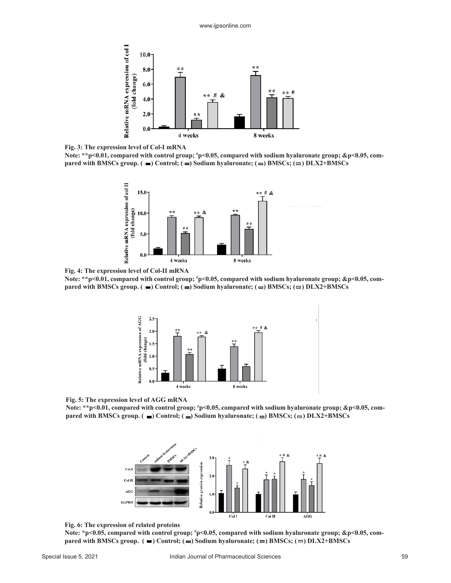

**Fig. 3: The expression level of Col-I mRNA**

**Note: \*\*p<0.01, compared with control group; # p<0.05, compared with sodium hyaluronate group; &p<0.05, compared with BMSCs group. (** $\blacksquare$ **) Control; (** $\blacksquare$ **) Sodium hyaluronate; (** $\blacksquare$ **) BMSCs; (** $\blacksquare$ **) DLX2+BMSCs** 



**Fig. 4: The expression level of Col-II mRNA**

**Note: \*\*p<0.01, compared with control group; # p<0.05, compared with sodium hyaluronate group; &p<0.05, compared with BMSCs group. (** $\blacksquare$ ) Control; ( $\blacksquare$ ) Sodium hyaluronate; ( $\blacksquare$ ) BMSCs; ( $\blacksquare$ ) DLX2+BMSCs





**Note: \*\*p<0.01, compared with control group; # p<0.05, compared with sodium hyaluronate group; &p<0.05, compared with BMSCs group. (** $\blacksquare$ ) Control; ( $\blacksquare$ ) Sodium hyaluronate; ( $\blacksquare$ ) BMSCs; ( $\blacksquare$ ) DLX2+BMSCs



#### **Fig. 6: The expression of related proteins**

**Note: \*p<0.05, compared with control group; # p<0.05, compared with sodium hyaluronate group; &p<0.05, compared with BMSCs group.**  $($   $\blacksquare$   $)$  Control;  $($  $\blacksquare$   $)$  Sodium hyaluronate;  $($  $\blacksquare$  $)$  BMSCs;  $($  $\blacksquare$  $)$  DLX2+BMSCs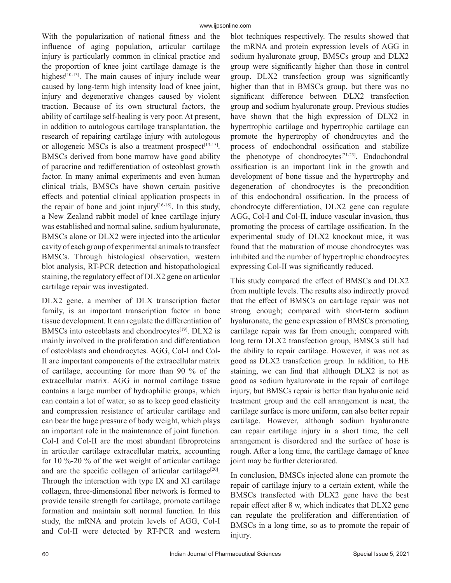With the popularization of national fitness and the influence of aging population, articular cartilage injury is particularly common in clinical practice and the proportion of knee joint cartilage damage is the highest<sup>[10-13]</sup>. The main causes of injury include wear caused by long-term high intensity load of knee joint, injury and degenerative changes caused by violent traction. Because of its own structural factors, the ability of cartilage self-healing is very poor. At present, in addition to autologous cartilage transplantation, the research of repairing cartilage injury with autologous or allogeneic MSCs is also a treatment prospect<sup>[13-15]</sup>. BMSCs derived from bone marrow have good ability of paracrine and redifferentiation of osteoblast growth factor. In many animal experiments and even human clinical trials, BMSCs have shown certain positive effects and potential clinical application prospects in the repair of bone and joint injury $[16-18]$ . In this study, a New Zealand rabbit model of knee cartilage injury was established and normal saline, sodium hyaluronate, BMSCs alone or DLX2 were injected into the articular cavity of each group of experimental animals to transfect BMSCs. Through histological observation, western blot analysis, RT-PCR detection and histopathological staining, the regulatory effect of DLX2 gene on articular cartilage repair was investigated.

DLX2 gene, a member of DLX transcription factor family, is an important transcription factor in bone tissue development. It can regulate the differentiation of BMSCs into osteoblasts and chondrocytes<sup>[19]</sup>. DLX2 is mainly involved in the proliferation and differentiation of osteoblasts and chondrocytes. AGG, Col-I and Col-II are important components of the extracellular matrix of cartilage, accounting for more than 90 % of the extracellular matrix. AGG in normal cartilage tissue contains a large number of hydrophilic groups, which can contain a lot of water, so as to keep good elasticity and compression resistance of articular cartilage and can bear the huge pressure of body weight, which plays an important role in the maintenance of joint function. Col-I and Col-II are the most abundant fibroproteins in articular cartilage extracellular matrix, accounting for 10 %-20 % of the wet weight of articular cartilage and are the specific collagen of articular cartilage<sup>[20]</sup>. Through the interaction with type IX and XI cartilage collagen, three-dimensional fiber network is formed to provide tensile strength for cartilage, promote cartilage formation and maintain soft normal function. In this study, the mRNA and protein levels of AGG, Col-I and Col-II were detected by RT-PCR and western blot techniques respectively. The results showed that the mRNA and protein expression levels of AGG in sodium hyaluronate group, BMSCs group and DLX2 group were significantly higher than those in control group. DLX2 transfection group was significantly higher than that in BMSCs group, but there was no significant difference between DLX2 transfection group and sodium hyaluronate group. Previous studies have shown that the high expression of DLX2 in hypertrophic cartilage and hypertrophic cartilage can promote the hypertrophy of chondrocytes and the process of endochondral ossification and stabilize the phenotype of chondrocytes<sup>[21-23]</sup>. Endochondral ossification is an important link in the growth and development of bone tissue and the hypertrophy and degeneration of chondrocytes is the precondition of this endochondral ossification. In the process of chondrocyte differentiation, DLX2 gene can regulate AGG, Col-I and Col-II, induce vascular invasion, thus promoting the process of cartilage ossification. In the experimental study of DLX2 knockout mice, it was found that the maturation of mouse chondrocytes was inhibited and the number of hypertrophic chondrocytes expressing Col-II was significantly reduced.

This study compared the effect of BMSCs and DLX2 from multiple levels. The results also indirectly proved that the effect of BMSCs on cartilage repair was not strong enough; compared with short-term sodium hyaluronate, the gene expression of BMSCs promoting cartilage repair was far from enough; compared with long term DLX2 transfection group, BMSCs still had the ability to repair cartilage. However, it was not as good as DLX2 transfection group. In addition, to HE staining, we can find that although DLX2 is not as good as sodium hyaluronate in the repair of cartilage injury, but BMSCs repair is better than hyaluronic acid treatment group and the cell arrangement is neat, the cartilage surface is more uniform, can also better repair cartilage. However, although sodium hyaluronate can repair cartilage injury in a short time, the cell arrangement is disordered and the surface of hose is rough. After a long time, the cartilage damage of knee joint may be further deteriorated.

In conclusion, BMSCs injected alone can promote the repair of cartilage injury to a certain extent, while the BMSCs transfected with DLX2 gene have the best repair effect after 8 w, which indicates that DLX2 gene can regulate the proliferation and differentiation of BMSCs in a long time, so as to promote the repair of injury.